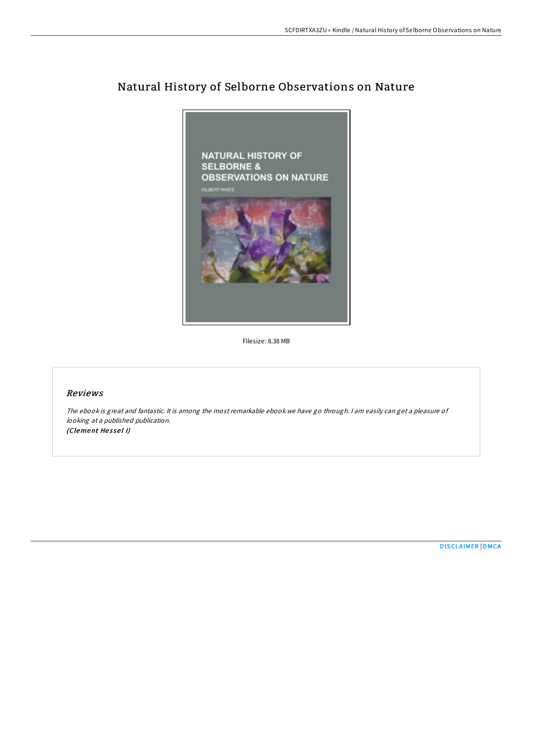

# Natural History of Selborne Observations on Nature

Filesize: 8.38 MB

## Reviews

The ebook is great and fantastic. It is among the most remarkable ebook we have go through. <sup>I</sup> am easily can get <sup>a</sup> pleasure of looking at <sup>a</sup> published publication. (Clement Hessel I)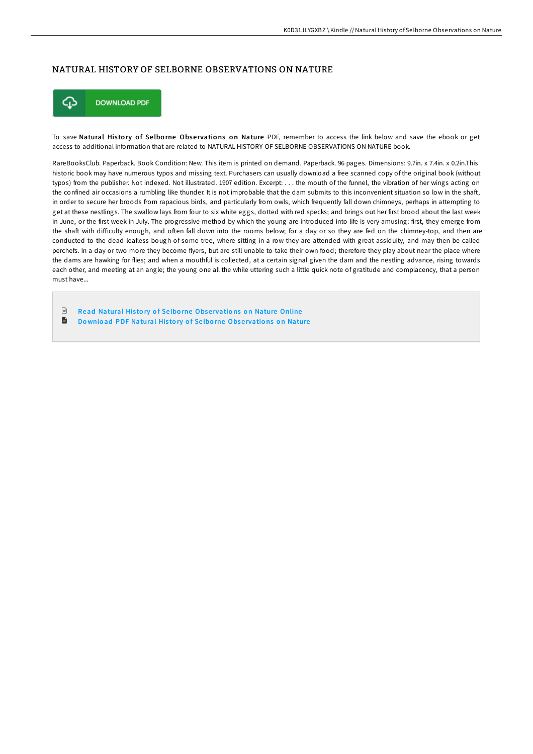## NATURAL HISTORY OF SELBORNE OBSERVATIONS ON NATURE



To save Natural History of Selborne Observations on Nature PDF, remember to access the link below and save the ebook or get access to additional information that are related to NATURAL HISTORY OF SELBORNE OBSERVATIONS ON NATURE book.

RareBooksClub. Paperback. Book Condition: New. This item is printed on demand. Paperback. 96 pages. Dimensions: 9.7in. x 7.4in. x 0.2in.This historic book may have numerous typos and missing text. Purchasers can usually download a free scanned copy of the original book (without typos) from the publisher. Not indexed. Not illustrated. 1907 edition. Excerpt: . . . the mouth of the funnel, the vibration of her wings acting on the confined air occasions a rumbling like thunder. It is not improbable that the dam submits to this inconvenient situation so low in the shaft, in order to secure her broods from rapacious birds, and particularly from owls, which frequently fall down chimneys, perhaps in attempting to get at these nestlings. The swallow lays from four to six white eggs, dotted with red specks; and brings out her first brood about the last week in June, or the first week in July. The progressive method by which the young are introduced into life is very amusing: first, they emerge from the shaft with difficulty enough, and often fall down into the rooms below; for a day or so they are fed on the chimney-top, and then are conducted to the dead leafless bough of some tree, where sitting in a row they are attended with great assiduity, and may then be called perchefs. In a day or two more they become flyers, but are still unable to take their own food; therefore they play about near the place where the dams are hawking for flies; and when a mouthful is collected, at a certain signal given the dam and the nestling advance, rising towards each other, and meeting at an angle; the young one all the while uttering such a little quick note of gratitude and complacency, that a person must have...

 $\mathbb{F}$ Read [Natural](http://almighty24.tech/natural-history-of-selborne-observations-on-natu.html) History of Selborne Observations on Nature Online B Do wnload PDF [Natural](http://almighty24.tech/natural-history-of-selborne-observations-on-natu.html) History of Selborne Observations on Nature